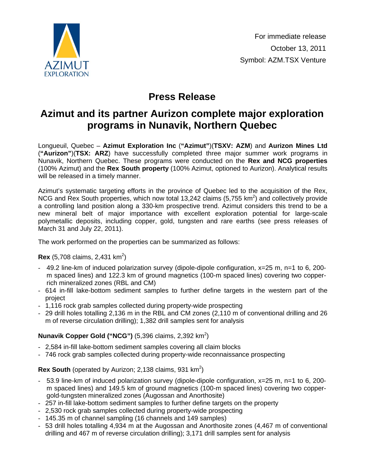

# **Press Release**

## **Azimut and its partner Aurizon complete major exploration programs in Nunavik, Northern Quebec**

Longueuil, Quebec – **Azimut Exploration Inc** (**"Azimut"**)(**TSXV: AZM**) and **Aurizon Mines Ltd** (**"Aurizon"**)(**TSX: ARZ**) have successfully completed three major summer work programs in Nunavik, Northern Quebec. These programs were conducted on the **Rex and NCG properties** (100% Azimut) and the **Rex South property** (100% Azimut, optioned to Aurizon). Analytical results will be released in a timely manner.

Azimut's systematic targeting efforts in the province of Quebec led to the acquisition of the Rex, NCG and Rex South properties, which now total 13,242 claims (5,755  $km^2$ ) and collectively provide a controlling land position along a 330-km prospective trend. Azimut considers this trend to be a new mineral belt of major importance with excellent exploration potential for large-scale polymetallic deposits, including copper, gold, tungsten and rare earths (see press releases of March 31 and July 22, 2011).

The work performed on the properties can be summarized as follows:

#### **Rex** (5,708 claims, 2,431 km<sup>2</sup>)

- 49.2 line-km of induced polarization survey (dipole-dipole configuration, x=25 m, n=1 to 6, 200 m spaced lines) and 122.3 km of ground magnetics (100-m spaced lines) covering two copperrich mineralized zones (RBL and CM)
- 614 in-fill lake-bottom sediment samples to further define targets in the western part of the project
- 1,116 rock grab samples collected during property-wide prospecting
- 29 drill holes totalling 2,136 m in the RBL and CM zones (2,110 m of conventional drilling and 26 m of reverse circulation drilling); 1,382 drill samples sent for analysis

### **Nunavik Copper Gold ("NCG")** (5,396 claims, 2,392 km<sup>2</sup>)

- 2,584 in-fill lake-bottom sediment samples covering all claim blocks
- 746 rock grab samples collected during property-wide reconnaissance prospecting

### Rex South (operated by Aurizon; 2,138 claims, 931 km<sup>2</sup>)

- 53.9 line-km of induced polarization survey (dipole-dipole configuration, x=25 m, n=1 to 6, 200 m spaced lines) and 149.5 km of ground magnetics (100-m spaced lines) covering two coppergold-tungsten mineralized zones (Augossan and Anorthosite)
- 257 in-fill lake-bottom sediment samples to further define targets on the property
- 2,530 rock grab samples collected during property-wide prospecting
- 145.35 m of channel sampling (16 channels and 149 samples)
- 53 drill holes totalling 4,934 m at the Augossan and Anorthosite zones (4,467 m of conventional drilling and 467 m of reverse circulation drilling); 3,171 drill samples sent for analysis